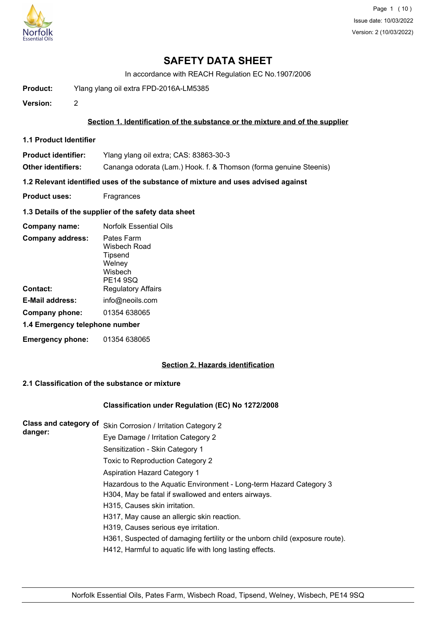

# **SAFETY DATA SHEET**

In accordance with REACH Regulation EC No.1907/2006

**Product:** Ylang ylang oil extra FPD-2016A-LM5385

**Version:** 2

## **Section 1. Identification of the substance or the mixture and of the supplier**

- **1.1 Product Identifier**
- **Product identifier:** Ylang ylang oil extra; CAS: 83863-30-3

**Other identifiers:** Cananga odorata (Lam.) Hook. f. & Thomson (forma genuine Steenis)

**1.2 Relevant identified uses of the substance of mixture and uses advised against**

- **Product uses:** Fragrances
- **1.3 Details of the supplier of the safety data sheet**

| Company name:                  | <b>Norfolk Essential Oils</b>                                                 |
|--------------------------------|-------------------------------------------------------------------------------|
| <b>Company address:</b>        | Pates Farm<br>Wisbech Road<br>Tipsend<br>Welney<br>Wishech<br><b>PE14 9SQ</b> |
| Contact:                       | <b>Regulatory Affairs</b>                                                     |
| E-Mail address:                | info@neoils.com                                                               |
| Company phone:                 | 01354 638065                                                                  |
| 1.4 Emergency telephone number |                                                                               |
| <b>Emergency phone:</b>        | 01354 638065                                                                  |

# **Section 2. Hazards identification**

## **2.1 Classification of the substance or mixture**

## **Classification under Regulation (EC) No 1272/2008**

| <b>Class and category of</b> | Skin Corrosion / Irritation Category 2                                      |
|------------------------------|-----------------------------------------------------------------------------|
| danger:                      | Eye Damage / Irritation Category 2                                          |
|                              | Sensitization - Skin Category 1                                             |
|                              | Toxic to Reproduction Category 2                                            |
|                              | Aspiration Hazard Category 1                                                |
|                              | Hazardous to the Aquatic Environment - Long-term Hazard Category 3          |
|                              | H304, May be fatal if swallowed and enters airways.                         |
|                              | H315, Causes skin irritation.                                               |
|                              | H317, May cause an allergic skin reaction.                                  |
|                              | H319, Causes serious eye irritation.                                        |
|                              | H361, Suspected of damaging fertility or the unborn child (exposure route). |
|                              | H412, Harmful to aquatic life with long lasting effects.                    |
|                              |                                                                             |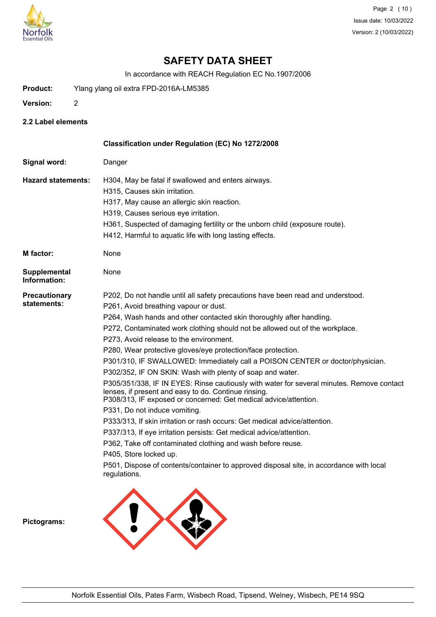

# **SAFETY DATA SHEET**

In accordance with REACH Regulation EC No.1907/2006

- **Product:** Ylang ylang oil extra FPD-2016A-LM5385
- **Version:** 2
- **2.2 Label elements**

|                                     | Classification under Regulation (EC) No 1272/2008                                                                                                                                                                     |
|-------------------------------------|-----------------------------------------------------------------------------------------------------------------------------------------------------------------------------------------------------------------------|
| Signal word:                        | Danger                                                                                                                                                                                                                |
| <b>Hazard statements:</b>           | H304, May be fatal if swallowed and enters airways.                                                                                                                                                                   |
|                                     | H315, Causes skin irritation.                                                                                                                                                                                         |
|                                     | H317, May cause an allergic skin reaction.                                                                                                                                                                            |
|                                     | H319, Causes serious eye irritation.                                                                                                                                                                                  |
|                                     | H361, Suspected of damaging fertility or the unborn child (exposure route).                                                                                                                                           |
|                                     | H412, Harmful to aquatic life with long lasting effects.                                                                                                                                                              |
| M factor:                           | None                                                                                                                                                                                                                  |
| <b>Supplemental</b><br>Information: | None                                                                                                                                                                                                                  |
| <b>Precautionary</b>                | P202, Do not handle until all safety precautions have been read and understood.                                                                                                                                       |
| statements:                         | P261, Avoid breathing vapour or dust.                                                                                                                                                                                 |
|                                     | P264, Wash hands and other contacted skin thoroughly after handling.                                                                                                                                                  |
|                                     | P272, Contaminated work clothing should not be allowed out of the workplace.                                                                                                                                          |
|                                     | P273, Avoid release to the environment.                                                                                                                                                                               |
|                                     | P280, Wear protective gloves/eye protection/face protection.                                                                                                                                                          |
|                                     | P301/310, IF SWALLOWED: Immediately call a POISON CENTER or doctor/physician.                                                                                                                                         |
|                                     | P302/352, IF ON SKIN: Wash with plenty of soap and water.                                                                                                                                                             |
|                                     | P305/351/338, IF IN EYES: Rinse cautiously with water for several minutes. Remove contact<br>lenses, if present and easy to do. Continue rinsing.<br>P308/313, IF exposed or concerned: Get medical advice/attention. |
|                                     | P331, Do not induce vomiting.                                                                                                                                                                                         |
|                                     | P333/313, If skin irritation or rash occurs: Get medical advice/attention.                                                                                                                                            |
|                                     | P337/313, If eye irritation persists: Get medical advice/attention.                                                                                                                                                   |
|                                     | P362, Take off contaminated clothing and wash before reuse.                                                                                                                                                           |
|                                     | P405, Store locked up.                                                                                                                                                                                                |
|                                     | P501, Dispose of contents/container to approved disposal site, in accordance with local<br>regulations.                                                                                                               |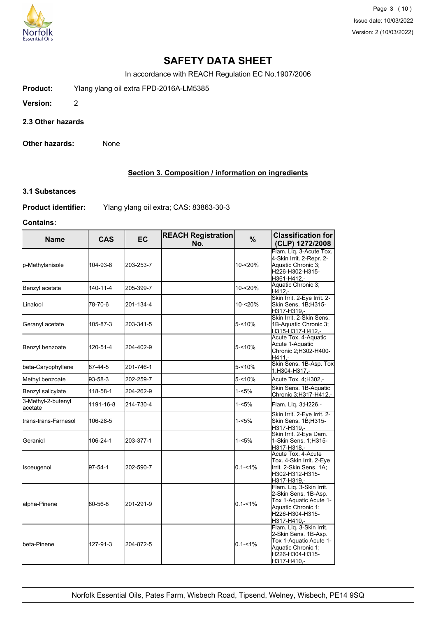

Page 3 (10) Issue date: 10/03/2022 Version: 2 (10/03/2022)

# **SAFETY DATA SHEET**

In accordance with REACH Regulation EC No.1907/2006

**Product:** Ylang ylang oil extra FPD-2016A-LM5385

**Version:** 2

**2.3 Other hazards**

**Other hazards:** None

## **Section 3. Composition / information on ingredients**

#### **3.1 Substances**

**Product identifier:** Ylang ylang oil extra; CAS: 83863-30-3

## **Contains:**

| <b>Name</b>                   | <b>CAS</b> | <b>EC</b> | <b>REACH Registration</b><br>No. | $\%$        | <b>Classification for</b><br>(CLP) 1272/2008                                                                                       |
|-------------------------------|------------|-----------|----------------------------------|-------------|------------------------------------------------------------------------------------------------------------------------------------|
| p-Methylanisole               | 104-93-8   | 203-253-7 |                                  | 10-<20%     | Flam. Liq. 3-Acute Tox.<br>4-Skin Irrit. 2-Repr. 2-<br>Aquatic Chronic 3;<br>H226-H302-H315-<br>H361-H412,-                        |
| Benzyl acetate                | 140-11-4   | 205-399-7 |                                  | 10-<20%     | Aquatic Chronic 3;<br>H412,-                                                                                                       |
| <b>Linalool</b>               | 78-70-6    | 201-134-4 |                                  | 10-<20%     | Skin Irrit. 2-Eye Irrit. 2-<br>Skin Sens. 1B;H315-<br>H317-H319,-                                                                  |
| Geranyl acetate               | 105-87-3   | 203-341-5 |                                  | 5-<10%      | Skin Irrit. 2-Skin Sens.<br>1B-Aquatic Chronic 3;<br>H315-H317-H412,-                                                              |
| Benzyl benzoate               | 120-51-4   | 204-402-9 |                                  | $5 - 10%$   | Acute Tox. 4-Aquatic<br>Acute 1-Aquatic<br>Chronic 2; H302-H400-<br>H411.-                                                         |
| beta-Caryophyllene            | 87-44-5    | 201-746-1 |                                  | $5 - 10%$   | Skin Sens. 1B-Asp. Tox<br>1;H304-H317,-                                                                                            |
| Methyl benzoate               | 93-58-3    | 202-259-7 |                                  | 5-<10%      | Acute Tox. 4; H302,-                                                                                                               |
| Benzyl salicylate             | 118-58-1   | 204-262-9 |                                  | 1-<5%       | Skin Sens. 1B-Aquatic<br>Chronic 3;H317-H412,-                                                                                     |
| 3-Methyl-2-butenyl<br>acetate | 1191-16-8  | 214-730-4 |                                  | 1-<5%       | Flam. Lig. 3; H226,-                                                                                                               |
| <b>I</b> trans-trans-Farnesol | 106-28-5   |           |                                  | $1 - 5%$    | Skin Irrit. 2-Eye Irrit. 2-<br>Skin Sens. 1B;H315-<br>H317-H319,-                                                                  |
| lGeraniol                     | 106-24-1   | 203-377-1 |                                  | 1-<5%       | Skin Irrit. 2-Eye Dam.<br>1-Skin Sens. 1; H315-<br>H317-H318.-                                                                     |
| Isoeugenol                    | 97-54-1    | 202-590-7 |                                  | $0.1 - 1\%$ | Acute Tox. 4-Acute<br>Tox. 4-Skin Irrit. 2-Eye<br>Irrit. 2-Skin Sens. 1A:<br>H302-H312-H315-<br>H317-H319,-                        |
| alpha-Pinene                  | 80-56-8    | 201-291-9 |                                  | $0.1 - 1\%$ | Flam. Liq. 3-Skin Irrit.<br>2-Skin Sens. 1B-Asp.<br>Tox 1-Aquatic Acute 1-<br>Aquatic Chronic 1;<br>H226-H304-H315-<br>H317-H410,- |
| lbeta-Pinene                  | 127-91-3   | 204-872-5 |                                  | $0.1 - 1\%$ | Flam. Liq. 3-Skin Irrit.<br>2-Skin Sens. 1B-Asp.<br>Tox 1-Aquatic Acute 1-<br>Aquatic Chronic 1;<br>H226-H304-H315-<br>H317-H410,- |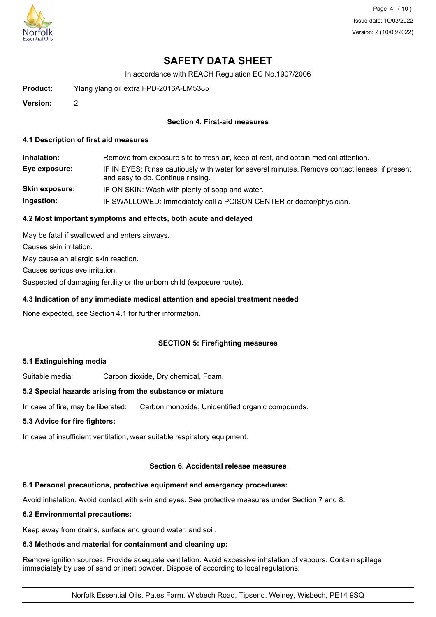

Page 4 (10) Issue date: 10/03/2022 Version: 2 (10/03/2022)

# **SAFETY DATA SHEET**

In accordance with REACH Regulation EC No.1907/2006

**Product:** Ylang ylang oil extra FPD-2016A-LM5385

**Version:** 2

## **Section 4. First-aid measures**

#### **4.1 Description of first aid measures**

**Inhalation:** Remove from exposure site to fresh air, keep at rest, and obtain medical attention. **Eye exposure:** IF IN EYES: Rinse cautiously with water for several minutes. Remove contact lenses, if present and easy to do. Continue rinsing. **Skin exposure:** IF ON SKIN: Wash with plenty of soap and water. **Ingestion:** IF SWALLOWED: Immediately call a POISON CENTER or doctor/physician.

## **4.2 Most important symptoms and effects, both acute and delayed**

May be fatal if swallowed and enters airways. Causes skin irritation. May cause an allergic skin reaction. Causes serious eye irritation. Suspected of damaging fertility or the unborn child (exposure route).

## **4.3 Indication of any immediate medical attention and special treatment needed**

None expected, see Section 4.1 for further information.

## **SECTION 5: Firefighting measures**

## **5.1 Extinguishing media**

Suitable media: Carbon dioxide, Dry chemical, Foam.

## **5.2 Special hazards arising from the substance or mixture**

In case of fire, may be liberated: Carbon monoxide, Unidentified organic compounds.

## **5.3 Advice for fire fighters:**

In case of insufficient ventilation, wear suitable respiratory equipment.

## **Section 6. Accidental release measures**

## **6.1 Personal precautions, protective equipment and emergency procedures:**

Avoid inhalation. Avoid contact with skin and eyes. See protective measures under Section 7 and 8.

#### **6.2 Environmental precautions:**

Keep away from drains, surface and ground water, and soil.

## **6.3 Methods and material for containment and cleaning up:**

Remove ignition sources. Provide adequate ventilation. Avoid excessive inhalation of vapours. Contain spillage immediately by use of sand or inert powder. Dispose of according to local regulations.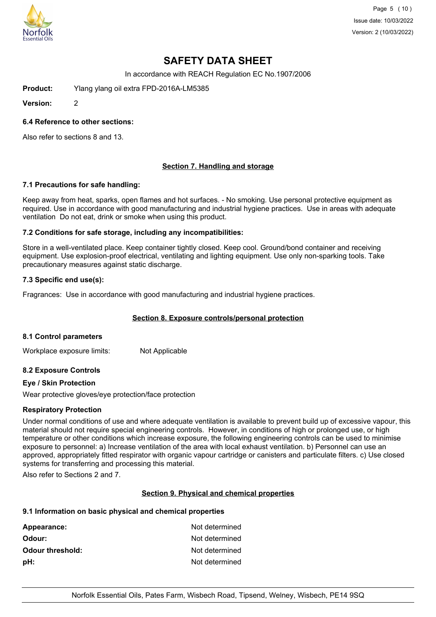

Page 5 (10) Issue date: 10/03/2022 Version: 2 (10/03/2022)

# **SAFETY DATA SHEET**

In accordance with REACH Regulation EC No.1907/2006

**Product:** Ylang ylang oil extra FPD-2016A-LM5385

**Version:** 2

#### **6.4 Reference to other sections:**

Also refer to sections 8 and 13.

## **Section 7. Handling and storage**

#### **7.1 Precautions for safe handling:**

Keep away from heat, sparks, open flames and hot surfaces. - No smoking. Use personal protective equipment as required. Use in accordance with good manufacturing and industrial hygiene practices. Use in areas with adequate ventilation Do not eat, drink or smoke when using this product.

#### **7.2 Conditions for safe storage, including any incompatibilities:**

Store in a well-ventilated place. Keep container tightly closed. Keep cool. Ground/bond container and receiving equipment. Use explosion-proof electrical, ventilating and lighting equipment. Use only non-sparking tools. Take precautionary measures against static discharge.

#### **7.3 Specific end use(s):**

Fragrances: Use in accordance with good manufacturing and industrial hygiene practices.

## **Section 8. Exposure controls/personal protection**

#### **8.1 Control parameters**

Workplace exposure limits: Not Applicable

## **8.2 Exposure Controls**

#### **Eye / Skin Protection**

Wear protective gloves/eye protection/face protection

## **Respiratory Protection**

Under normal conditions of use and where adequate ventilation is available to prevent build up of excessive vapour, this material should not require special engineering controls. However, in conditions of high or prolonged use, or high temperature or other conditions which increase exposure, the following engineering controls can be used to minimise exposure to personnel: a) Increase ventilation of the area with local exhaust ventilation. b) Personnel can use an approved, appropriately fitted respirator with organic vapour cartridge or canisters and particulate filters. c) Use closed systems for transferring and processing this material.

Also refer to Sections 2 and 7.

## **Section 9. Physical and chemical properties**

## **9.1 Information on basic physical and chemical properties**

| Not determined |
|----------------|
| Not determined |
| Not determined |
| Not determined |
|                |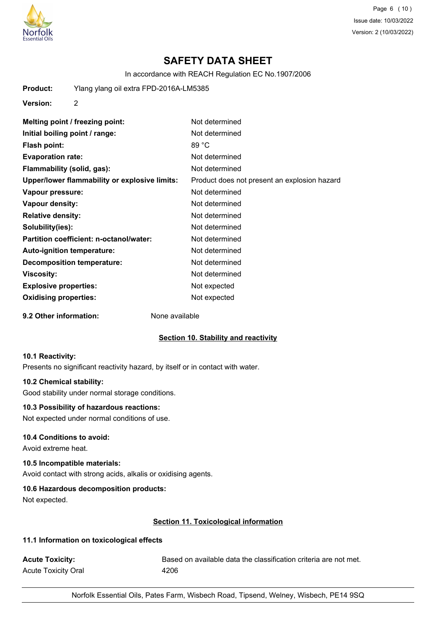

Page 6 (10) Issue date: 10/03/2022 Version: 2 (10/03/2022)

# **SAFETY DATA SHEET**

In accordance with REACH Regulation EC No.1907/2006

| Product: | Ylang ylang oil extra FPD-2016A-LM5385 |
|----------|----------------------------------------|
|          |                                        |

**Version:** 2

| Melting point / freezing point:               | Not determined                               |
|-----------------------------------------------|----------------------------------------------|
| Initial boiling point / range:                | Not determined                               |
| <b>Flash point:</b>                           | 89 °C                                        |
| <b>Evaporation rate:</b>                      | Not determined                               |
| Flammability (solid, gas):                    | Not determined                               |
| Upper/lower flammability or explosive limits: | Product does not present an explosion hazard |
| Vapour pressure:                              | Not determined                               |
| Vapour density:                               | Not determined                               |
| <b>Relative density:</b>                      | Not determined                               |
| Solubility(ies):                              | Not determined                               |
| Partition coefficient: n-octanol/water:       | Not determined                               |
| <b>Auto-ignition temperature:</b>             | Not determined                               |
| <b>Decomposition temperature:</b>             | Not determined                               |
| Viscosity:                                    | Not determined                               |
| <b>Explosive properties:</b>                  | Not expected                                 |
| <b>Oxidising properties:</b>                  | Not expected                                 |

**9.2 Other information:** None available

## **Section 10. Stability and reactivity**

#### **10.1 Reactivity:**

Presents no significant reactivity hazard, by itself or in contact with water.

#### **10.2 Chemical stability:**

Good stability under normal storage conditions.

## **10.3 Possibility of hazardous reactions:**

Not expected under normal conditions of use.

## **10.4 Conditions to avoid:**

Avoid extreme heat.

## **10.5 Incompatible materials:**

Avoid contact with strong acids, alkalis or oxidising agents.

## **10.6 Hazardous decomposition products:**

Not expected.

## **Section 11. Toxicological information**

## **11.1 Information on toxicological effects**

Acute Toxicity: **Acute Toxicity:** Based on available data the classification criteria are not met. Acute Toxicity Oral 1206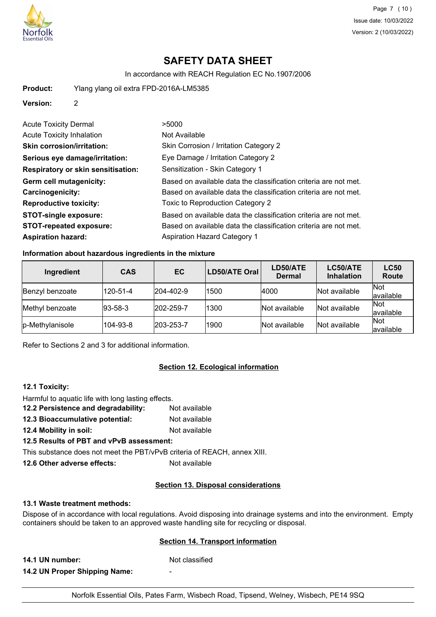

# **SAFETY DATA SHEET**

In accordance with REACH Regulation EC No.1907/2006

| Product: | Ylang ylang oil extra FPD-2016A-LM5385 |
|----------|----------------------------------------|
|----------|----------------------------------------|

**Version:** 2

| <b>Acute Toxicity Dermal</b>              | >5000                                                            |
|-------------------------------------------|------------------------------------------------------------------|
| <b>Acute Toxicity Inhalation</b>          | Not Available                                                    |
| <b>Skin corrosion/irritation:</b>         | Skin Corrosion / Irritation Category 2                           |
| Serious eye damage/irritation:            | Eye Damage / Irritation Category 2                               |
| <b>Respiratory or skin sensitisation:</b> | Sensitization - Skin Category 1                                  |
| Germ cell mutagenicity:                   | Based on available data the classification criteria are not met. |
| <b>Carcinogenicity:</b>                   | Based on available data the classification criteria are not met. |
| <b>Reproductive toxicity:</b>             | Toxic to Reproduction Category 2                                 |
| <b>STOT-single exposure:</b>              | Based on available data the classification criteria are not met. |
| <b>STOT-repeated exposure:</b>            | Based on available data the classification criteria are not met. |
| <b>Aspiration hazard:</b>                 | <b>Aspiration Hazard Category 1</b>                              |

# **Information about hazardous ingredients in the mixture**

| Ingredient      | <b>CAS</b>      | EC                | LD50/ATE Oral | LD50/ATE<br><b>Dermal</b> | LC50/ATE<br><b>Inhalation</b> | <b>LC50</b><br>Route    |
|-----------------|-----------------|-------------------|---------------|---------------------------|-------------------------------|-------------------------|
| Benzyl benzoate | 120-51-4        | $ 204 - 402 - 9 $ | 1500          | 4000                      | Not available                 | Not<br>lavailable       |
| Methyl benzoate | $ 93 - 58 - 3 $ | $ 202 - 259 - 7$  | 1300          | Not available             | Not available                 | Not<br>available        |
| p-Methylanisole | 104-93-8        | $ 203 - 253 - 7$  | 1900          | Not available             | Not available                 | <b>Not</b><br>available |

Refer to Sections 2 and 3 for additional information.

# **Section 12. Ecological information**

#### **12.1 Toxicity:**

- Harmful to aquatic life with long lasting effects. **12.2 Persistence and degradability:** Not available
- **12.3 Bioaccumulative potential:** Not available
- **12.4 Mobility in soil:** Not available

# **12.5 Results of PBT and vPvB assessment:**

This substance does not meet the PBT/vPvB criteria of REACH, annex XIII.

**12.6 Other adverse effects:** Not available

## **Section 13. Disposal considerations**

## **13.1 Waste treatment methods:**

Dispose of in accordance with local regulations. Avoid disposing into drainage systems and into the environment. Empty containers should be taken to an approved waste handling site for recycling or disposal.

## **Section 14. Transport information**

**14.1 UN number:** Not classified

**14.2 UN Proper Shipping Name:** -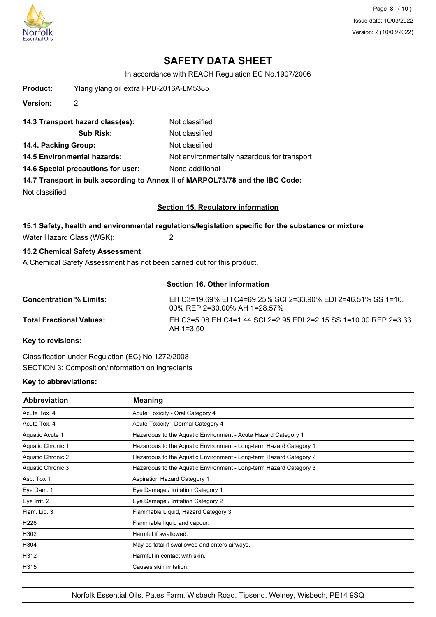

Page 8 (10) Issue date: 10/03/2022 Version: 2 (10/03/2022)

# **SAFETY DATA SHEET**

In accordance with REACH Regulation EC No.1907/2006

| <b>Product:</b>                | Ylang ylang oil extra FPD-2016A-LM5385 |                                                                                                     |
|--------------------------------|----------------------------------------|-----------------------------------------------------------------------------------------------------|
| <b>Version:</b>                | $\overline{2}$                         |                                                                                                     |
|                                | 14.3 Transport hazard class(es):       | Not classified                                                                                      |
|                                | <b>Sub Risk:</b>                       | Not classified                                                                                      |
| 14.4. Packing Group:           |                                        | Not classified                                                                                      |
|                                | <b>14.5 Environmental hazards:</b>     | Not environmentally hazardous for transport                                                         |
|                                | 14.6 Special precautions for user:     | None additional                                                                                     |
|                                |                                        | 14.7 Transport in bulk according to Annex II of MARPOL73/78 and the IBC Code:                       |
| Not classified                 |                                        |                                                                                                     |
|                                |                                        | <b>Section 15. Regulatory information</b>                                                           |
|                                |                                        | 15.1 Safety, health and environmental regulations/legislation specific for the substance or mixture |
|                                | Water Hazard Class (WGK):              | 2                                                                                                   |
|                                | 15.2 Chemical Safety Assessment        |                                                                                                     |
|                                |                                        | A Chemical Safety Assessment has not been carried out for this product.                             |
|                                |                                        |                                                                                                     |
|                                |                                        | <b>Section 16. Other information</b>                                                                |
| <b>Concentration % Limits:</b> |                                        | EH C3=19.69% EH C4=69.25% SCI 2=33.90% EDI 2=46.51% SS 1=10.<br>00% REP 2=30.00% AH 1=28.57%        |

00% REP 2=30.00% AH 1=28.57% **Total Fractional Values:** EH C3=5.08 EH C4=1.44 SCI 2=2.95 EDI 2=2.15 SS 1=10.00 REP 2=3.33 AH 1=3.50

**Key to revisions:**

Classification under Regulation (EC) No 1272/2008 SECTION 3: Composition/information on ingredients

# **Key to abbreviations:**

| <b>Abbreviation</b> | <b>Meaning</b>                                                     |
|---------------------|--------------------------------------------------------------------|
| Acute Tox. 4        | Acute Toxicity - Oral Category 4                                   |
| Acute Tox. 4        | Acute Toxicity - Dermal Category 4                                 |
| Aquatic Acute 1     | Hazardous to the Aquatic Environment - Acute Hazard Category 1     |
| Aquatic Chronic 1   | Hazardous to the Aquatic Environment - Long-term Hazard Category 1 |
| Aquatic Chronic 2   | Hazardous to the Aquatic Environment - Long-term Hazard Category 2 |
| Aquatic Chronic 3   | Hazardous to the Aquatic Environment - Long-term Hazard Category 3 |
| Asp. Tox 1          | Aspiration Hazard Category 1                                       |
| Eye Dam. 1          | Eye Damage / Irritation Category 1                                 |
| Eye Irrit. 2        | Eye Damage / Irritation Category 2                                 |
| Flam. Liq. 3        | Flammable Liquid, Hazard Category 3                                |
| H226                | Flammable liquid and vapour.                                       |
| H302                | Harmful if swallowed.                                              |
| H304                | May be fatal if swallowed and enters airways.                      |
| H312                | Harmful in contact with skin.                                      |
| H315                | lCauses skin irritation.                                           |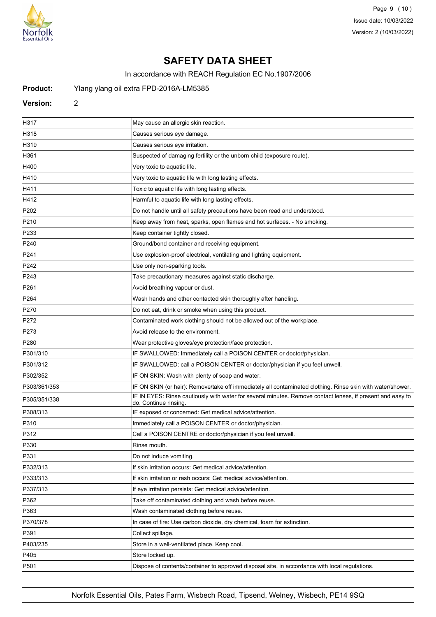

Page 9 (10) Issue date: 10/03/2022 Version: 2 (10/03/2022)

# **SAFETY DATA SHEET**

In accordance with REACH Regulation EC No.1907/2006

#### **Product:** Ylang ylang oil extra FPD-2016A-LM5385

#### **Version:** 2

H317 May cause an allergic skin reaction. H318 Causes serious eye damage. H319 Causes serious eye irritation. H361 Suspected of damaging fertility or the unborn child (exposure route). H400 Very toxic to aquatic life. H410 Mery toxic to aquatic life with long lasting effects. H411 **Toxic to aquatic life with long lasting effects** H412 Harmful to aquatic life with long lasting effects. P202 **Do not handle until all safety precautions have been read and understood.** P210 **Keep away from heat, sparks, open flames and hot surfaces.** - No smoking. P233 Reep container tightly closed. P240 **Cround/bond container and receiving equipment.** P241 **P241** Use explosion-proof electrical, ventilating and lighting equipment. P242 **P242 Example 242** Use only non-sparking tools. P243 **Take precautionary measures against static discharge.** P261 **P261** Avoid breathing vapour or dust. P264 **Wash hands and other contacted skin thoroughly after handling.** P270 **Do not eat, drink or smoke when using this product.** P272 Contaminated work clothing should not be allowed out of the workplace. P273 **Avoid release to the environment.** P280 Wear protective gloves/eye protection/face protection. P301/310 **IF SWALLOWED:** Immediately call a POISON CENTER or doctor/physician. P301/312 **IF SWALLOWED: call a POISON CENTER or doctor/physician if you feel unwell.** P302/352 **IF ON SKIN: Wash with plenty of soap and water.** P303/361/353 **IF ON SKIN (or hair): Remove/take off immediately all contaminated clothing. Rinse skin with water/shower.** P305/351/338 **IF IN EYES: Rinse cautiously with water for several minutes. Remove contact lenses, if present and easy to** do. Continue rinsing. P308/313 **IF exposed or concerned: Get medical advice/attention.** P310 Immediately call a POISON CENTER or doctor/physician. P312 **Particle and Call a POISON CENTRE** or doctor/physician if you feel unwell. P330 Rinse mouth P331 Do not induce vomiting. P332/313 **If skin irritation occurs: Get medical advice/attention.** P333/313 If skin irritation or rash occurs: Get medical advice/attention. P337/313 If eye irritation persists: Get medical advice/attention. P362 **Take off contaminated clothing and wash before reuse.** P363 Wash contaminated clothing before reuse. P370/378 In case of fire: Use carbon dioxide, dry chemical, foam for extinction. P391 Collect spillage. P403/235 Store in a well-ventilated place. Keep cool. **P405** Store locked up. P501 Dispose of contents/container to approved disposal site, in accordance with local regulations.